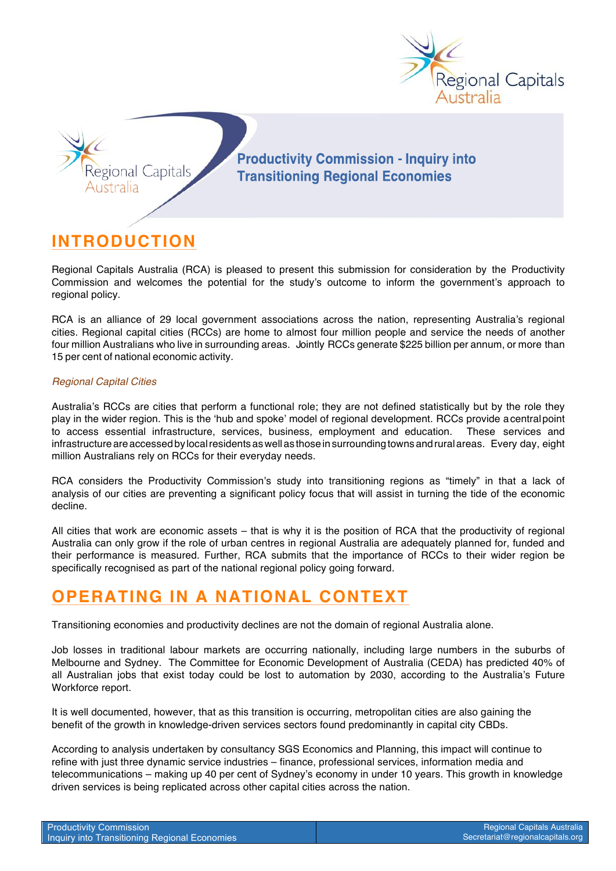



**Productivity Commission - Inquiry into Transitioning Regional Economies** 

## **INTRODUCTION**

Regional Capitals Australia (RCA) is pleased to present this submission for consideration by the Productivity Commission and welcomes the potential for the study's outcome to inform the government's approach to regional policy.

RCA is an alliance of 29 local government associations across the nation, representing Australia's regional cities. Regional capital cities (RCCs) are home to almost four million people and service the needs of another four million Australians who live in surrounding areas. Jointly RCCs generate \$225 billion per annum, or more than 15 per cent of national economic activity.

#### *Regional Capital Cities*

Australia's RCCs are cities that perform a functional role; they are not defined statistically but by the role they play in the wider region. This is the 'hub and spoke' model of regional development. RCCs provide acentralpoint to access essential infrastructure, services, business, employment and education. These services and infrastructure are accessed by local residents as well as those in surrounding towns and rural areas. Every day, eight million Australians rely on RCCs for their everyday needs.

RCA considers the Productivity Commission's study into transitioning regions as "timely" in that a lack of analysis of our cities are preventing a significant policy focus that will assist in turning the tide of the economic decline.

All cities that work are economic assets – that is why it is the position of RCA that the productivity of regional Australia can only grow if the role of urban centres in regional Australia are adequately planned for, funded and their performance is measured. Further, RCA submits that the importance of RCCs to their wider region be specifically recognised as part of the national regional policy going forward.

## **OPERATING IN A NATIONAL CONTEXT**

Transitioning economies and productivity declines are not the domain of regional Australia alone.

Job losses in traditional labour markets are occurring nationally, including large numbers in the suburbs of Melbourne and Sydney. The Committee for Economic Development of Australia (CEDA) has predicted 40% of all Australian jobs that exist today could be lost to automation by 2030, according to the Australia's Future Workforce report.

It is well documented, however, that as this transition is occurring, metropolitan cities are also gaining the benefit of the growth in knowledge-driven services sectors found predominantly in capital city CBDs.

According to analysis undertaken by consultancy SGS Economics and Planning, this impact will continue to refine with just three dynamic service industries – finance, professional services, information media and telecommunications – making up 40 per cent of Sydney's economy in under 10 years. This growth in knowledge driven services is being replicated across other capital cities across the nation.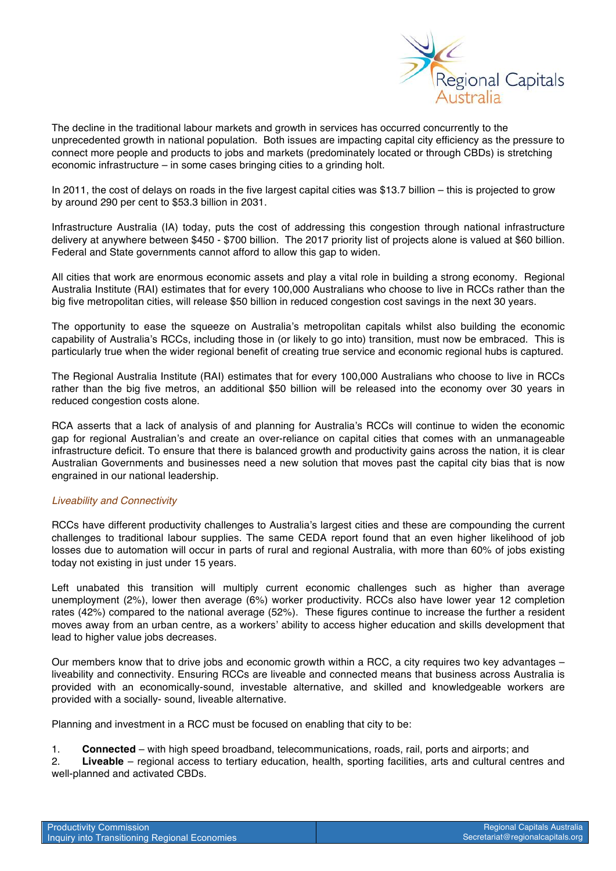

The decline in the traditional labour markets and growth in services has occurred concurrently to the unprecedented growth in national population. Both issues are impacting capital city efficiency as the pressure to connect more people and products to jobs and markets (predominately located or through CBDs) is stretching economic infrastructure – in some cases bringing cities to a grinding holt.

In 2011, the cost of delays on roads in the five largest capital cities was \$13.7 billion – this is projected to grow by around 290 per cent to \$53.3 billion in 2031.

Infrastructure Australia (IA) today, puts the cost of addressing this congestion through national infrastructure delivery at anywhere between \$450 - \$700 billion. The 2017 priority list of projects alone is valued at \$60 billion. Federal and State governments cannot afford to allow this gap to widen.

All cities that work are enormous economic assets and play a vital role in building a strong economy. Regional Australia Institute (RAI) estimates that for every 100,000 Australians who choose to live in RCCs rather than the big five metropolitan cities, will release \$50 billion in reduced congestion cost savings in the next 30 years.

The opportunity to ease the squeeze on Australia's metropolitan capitals whilst also building the economic capability of Australia's RCCs, including those in (or likely to go into) transition, must now be embraced. This is particularly true when the wider regional benefit of creating true service and economic regional hubs is captured.

The Regional Australia Institute (RAI) estimates that for every 100,000 Australians who choose to live in RCCs rather than the big five metros, an additional \$50 billion will be released into the economy over 30 years in reduced congestion costs alone.

RCA asserts that a lack of analysis of and planning for Australia's RCCs will continue to widen the economic gap for regional Australian's and create an over-reliance on capital cities that comes with an unmanageable infrastructure deficit. To ensure that there is balanced growth and productivity gains across the nation, it is clear Australian Governments and businesses need a new solution that moves past the capital city bias that is now engrained in our national leadership.

#### *Liveability and Connectivity*

RCCs have different productivity challenges to Australia's largest cities and these are compounding the current challenges to traditional labour supplies. The same CEDA report found that an even higher likelihood of job losses due to automation will occur in parts of rural and regional Australia, with more than 60% of jobs existing today not existing in just under 15 years.

Left unabated this transition will multiply current economic challenges such as higher than average unemployment (2%), lower then average (6%) worker productivity. RCCs also have lower year 12 completion rates (42%) compared to the national average (52%). These figures continue to increase the further a resident moves away from an urban centre, as a workers' ability to access higher education and skills development that lead to higher value jobs decreases.

Our members know that to drive jobs and economic growth within a RCC, a city requires two key advantages – liveability and connectivity. Ensuring RCCs are liveable and connected means that business across Australia is provided with an economically-sound, investable alternative, and skilled and knowledgeable workers are provided with a socially- sound, liveable alternative.

Planning and investment in a RCC must be focused on enabling that city to be:

1. **Connected** – with high speed broadband, telecommunications, roads, rail, ports and airports; and

2. **Liveable** – regional access to tertiary education, health, sporting facilities, arts and cultural centres and well-planned and activated CBDs.

| <b>Productivity Commission</b>                |  |
|-----------------------------------------------|--|
| Inquiry into Transitioning Regional Economies |  |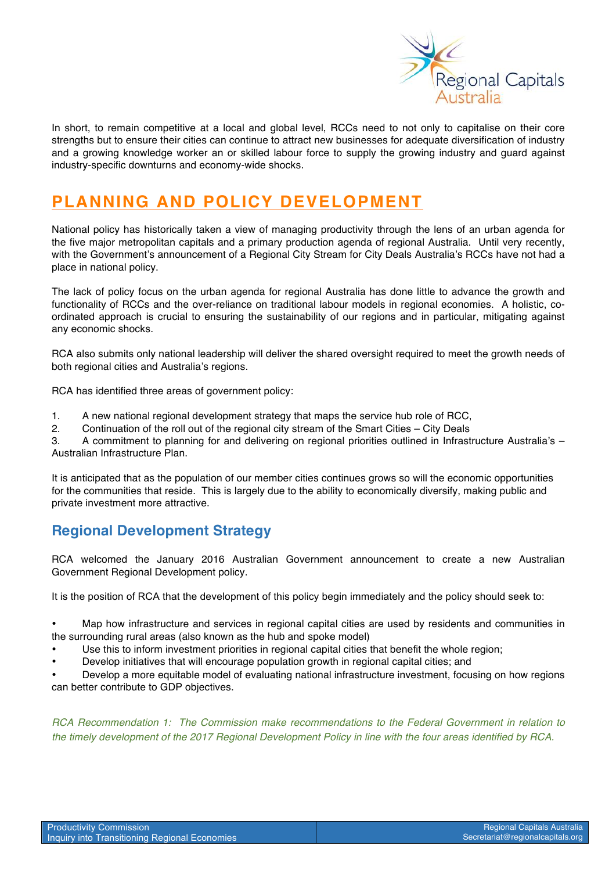

In short, to remain competitive at a local and global level, RCCs need to not only to capitalise on their core strengths but to ensure their cities can continue to attract new businesses for adequate diversification of industry and a growing knowledge worker an or skilled labour force to supply the growing industry and guard against industry-specific downturns and economy-wide shocks.

# **PLANNING AND POLICY DEVELOPMENT**

National policy has historically taken a view of managing productivity through the lens of an urban agenda for the five major metropolitan capitals and a primary production agenda of regional Australia. Until very recently, with the Government's announcement of a Regional City Stream for City Deals Australia's RCCs have not had a place in national policy.

The lack of policy focus on the urban agenda for regional Australia has done little to advance the growth and functionality of RCCs and the over-reliance on traditional labour models in regional economies. A holistic, coordinated approach is crucial to ensuring the sustainability of our regions and in particular, mitigating against any economic shocks.

RCA also submits only national leadership will deliver the shared oversight required to meet the growth needs of both regional cities and Australia's regions.

RCA has identified three areas of government policy:

- 1. A new national regional development strategy that maps the service hub role of RCC,
- 2. Continuation of the roll out of the regional city stream of the Smart Cities City Deals

3. A commitment to planning for and delivering on regional priorities outlined in Infrastructure Australia's – Australian Infrastructure Plan.

It is anticipated that as the population of our member cities continues grows so will the economic opportunities for the communities that reside. This is largely due to the ability to economically diversify, making public and private investment more attractive.

### **Regional Development Strategy**

RCA welcomed the January 2016 Australian Government announcement to create a new Australian Government Regional Development policy.

It is the position of RCA that the development of this policy begin immediately and the policy should seek to:

• Map how infrastructure and services in regional capital cities are used by residents and communities in the surrounding rural areas (also known as the hub and spoke model)

- Use this to inform investment priorities in regional capital cities that benefit the whole region;
- Develop initiatives that will encourage population growth in regional capital cities; and

• Develop a more equitable model of evaluating national infrastructure investment, focusing on how regions can better contribute to GDP objectives.

*RCA Recommendation 1: The Commission make recommendations to the Federal Government in relation to the timely development of the 2017 Regional Development Policy in line with the four areas identified by RCA.*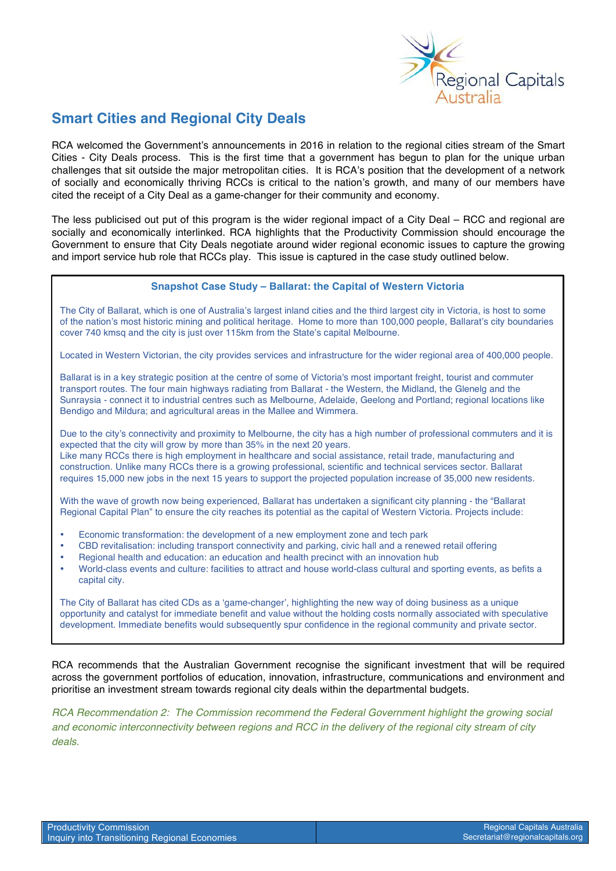

### **Smart Cities and Regional City Deals**

RCA welcomed the Government's announcements in 2016 in relation to the regional cities stream of the Smart Cities - City Deals process. This is the first time that a government has begun to plan for the unique urban challenges that sit outside the major metropolitan cities. It is RCA's position that the development of a network of socially and economically thriving RCCs is critical to the nation's growth, and many of our members have cited the receipt of a City Deal as a game-changer for their community and economy.

The less publicised out put of this program is the wider regional impact of a City Deal – RCC and regional are socially and economically interlinked. RCA highlights that the Productivity Commission should encourage the Government to ensure that City Deals negotiate around wider regional economic issues to capture the growing and import service hub role that RCCs play. This issue is captured in the case study outlined below.

#### **Snapshot Case Study – Ballarat: the Capital of Western Victoria**

The City of Ballarat, which is one of Australia's largest inland cities and the third largest city in Victoria, is host to some of the nation's most historic mining and political heritage. Home to more than 100,000 people, Ballarat's city boundaries cover 740 kmsq and the city is just over 115km from the State's capital Melbourne.

Located in Western Victorian, the city provides services and infrastructure for the wider regional area of 400,000 people.

Ballarat is in a key strategic position at the centre of some of Victoria's most important freight, tourist and commuter transport routes. The four main highways radiating from Ballarat - the Western, the Midland, the Glenelg and the Sunraysia - connect it to industrial centres such as Melbourne, Adelaide, Geelong and Portland; regional locations like Bendigo and Mildura; and agricultural areas in the Mallee and Wimmera.

Due to the city's connectivity and proximity to Melbourne, the city has a high number of professional commuters and it is expected that the city will grow by more than 35% in the next 20 years. Like many RCCs there is high employment in healthcare and social assistance, retail trade, manufacturing and construction. Unlike many RCCs there is a growing professional, scientific and technical services sector. Ballarat requires 15,000 new jobs in the next 15 years to support the projected population increase of 35,000 new residents.

With the wave of growth now being experienced, Ballarat has undertaken a significant city planning - the "Ballarat Regional Capital Plan" to ensure the city reaches its potential as the capital of Western Victoria. Projects include:

- Economic transformation: the development of a new employment zone and tech park
- CBD revitalisation: including transport connectivity and parking, civic hall and a renewed retail offering
- Regional health and education: an education and health precinct with an innovation hub
- World-class events and culture: facilities to attract and house world-class cultural and sporting events, as befits a capital city.

The City of Ballarat has cited CDs as a 'game-changer', highlighting the new way of doing business as a unique opportunity and catalyst for immediate benefit and value without the holding costs normally associated with speculative development. Immediate benefits would subsequently spur confidence in the regional community and private sector.

RCA recommends that the Australian Government recognise the significant investment that will be required across the government portfolios of education, innovation, infrastructure, communications and environment and prioritise an investment stream towards regional city deals within the departmental budgets.

*RCA Recommendation 2: The Commission recommend the Federal Government highlight the growing social and economic interconnectivity between regions and RCC in the delivery of the regional city stream of city deals.*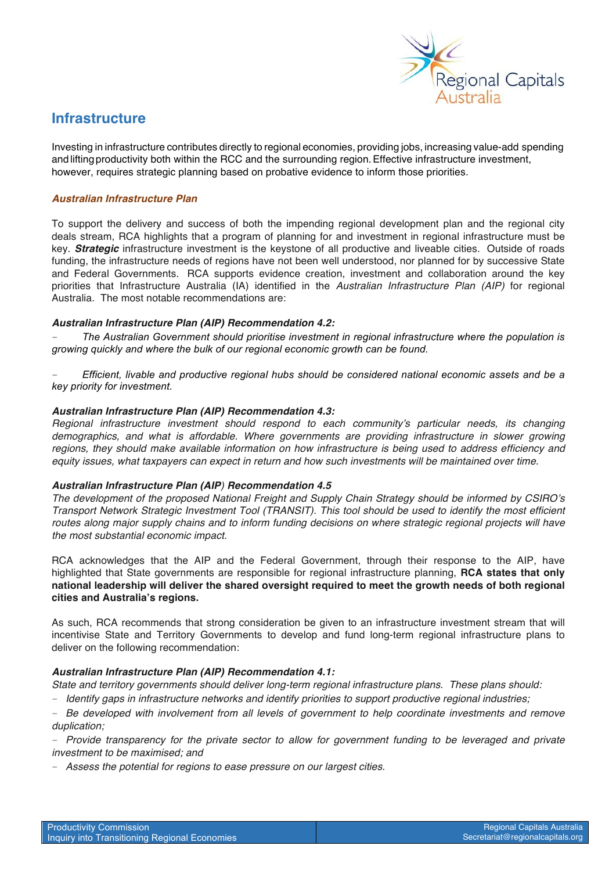

### **Infrastructure**

Investing in infrastructure contributes directly to regional economies, providing jobs, increasing value-add spending and lifting productivity both within the RCC and the surrounding region. Effective infrastructure investment, however, requires strategic planning based on probative evidence to inform those priorities.

#### *Australian Infrastructure Plan*

To support the delivery and success of both the impending regional development plan and the regional city deals stream, RCA highlights that a program of planning for and investment in regional infrastructure must be key. *Strategic* infrastructure investment is the keystone of all productive and liveable cities. Outside of roads funding, the infrastructure needs of regions have not been well understood, nor planned for by successive State and Federal Governments. RCA supports evidence creation, investment and collaboration around the key priorities that Infrastructure Australia (IA) identified in the *Australian Infrastructure Plan (AIP)* for regional Australia. The most notable recommendations are:

#### *Australian Infrastructure Plan (AIP) Recommendation 4.2:*

– *The Australian Government should prioritise investment in regional infrastructure where the population is growing quickly and where the bulk of our regional economic growth can be found.* 

– *Efficient, livable and productive regional hubs should be considered national economic assets and be a key priority for investment.*

#### *Australian Infrastructure Plan (AIP) Recommendation 4.3:*

*Regional infrastructure investment should respond to each community's particular needs, its changing demographics, and what is affordable. Where governments are providing infrastructure in slower growing regions, they should make available information on how infrastructure is being used to address efficiency and equity issues, what taxpayers can expect in return and how such investments will be maintained over time.*

#### *Australian Infrastructure Plan (AIP) Recommendation 4.5*

*The development of the proposed National Freight and Supply Chain Strategy should be informed by CSIRO's Transport Network Strategic Investment Tool (TRANSIT). This tool should be used to identify the most efficient routes along major supply chains and to inform funding decisions on where strategic regional projects will have the most substantial economic impact.*

RCA acknowledges that the AIP and the Federal Government, through their response to the AIP, have highlighted that State governments are responsible for regional infrastructure planning, **RCA states that only national leadership will deliver the shared oversight required to meet the growth needs of both regional cities and Australia's regions.** 

As such, RCA recommends that strong consideration be given to an infrastructure investment stream that will incentivise State and Territory Governments to develop and fund long-term regional infrastructure plans to deliver on the following recommendation:

#### *Australian Infrastructure Plan (AIP) Recommendation 4.1:*

*State and territory governments should deliver long-term regional infrastructure plans. These plans should:*

– *Identify gaps in infrastructure networks and identify priorities to support productive regional industries;*

– *Be developed with involvement from all levels of government to help coordinate investments and remove duplication;*

– *Provide transparency for the private sector to allow for government funding to be leveraged and private investment to be maximised; and*

– *Assess the potential for regions to ease pressure on our largest cities.*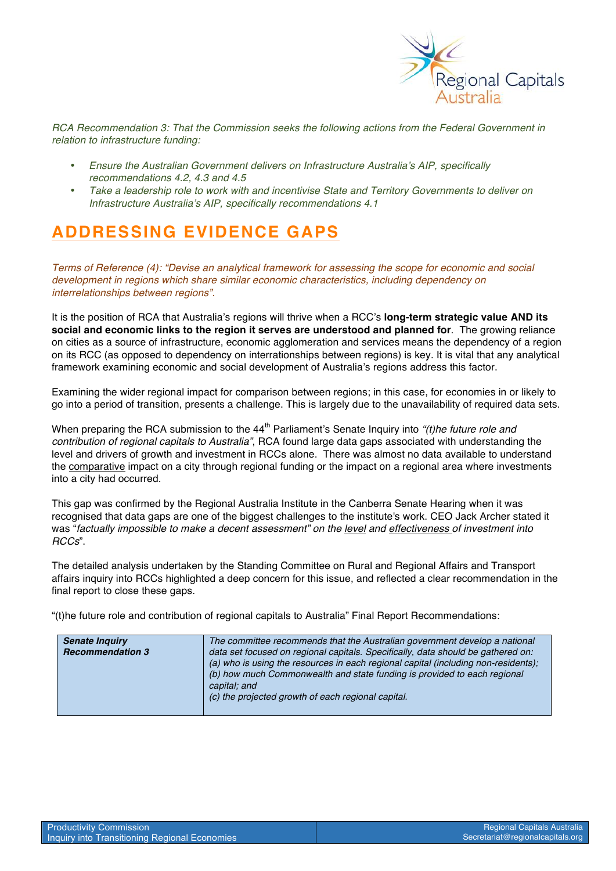

*RCA Recommendation 3: That the Commission seeks the following actions from the Federal Government in relation to infrastructure funding:* 

- *Ensure the Australian Government delivers on Infrastructure Australia's AIP, specifically recommendations 4.2, 4.3 and 4.5*
- *Take a leadership role to work with and incentivise State and Territory Governments to deliver on Infrastructure Australia's AIP, specifically recommendations 4.1*

# **ADDRESSING EVIDENCE GAPS**

*Terms of Reference (4): "Devise an analytical framework for assessing the scope for economic and social development in regions which share similar economic characteristics, including dependency on interrelationships between regions".*

It is the position of RCA that Australia's regions will thrive when a RCC's **long-term strategic value AND its social and economic links to the region it serves are understood and planned for**. The growing reliance on cities as a source of infrastructure, economic agglomeration and services means the dependency of a region on its RCC (as opposed to dependency on interrationships between regions) is key. It is vital that any analytical framework examining economic and social development of Australia's regions address this factor.

Examining the wider regional impact for comparison between regions; in this case, for economies in or likely to go into a period of transition, presents a challenge. This is largely due to the unavailability of required data sets.

When preparing the RCA submission to the 44<sup>th</sup> Parliament's Senate Inquiry into *"(t)he future role and contribution of regional capitals to Australia"*, RCA found large data gaps associated with understanding the level and drivers of growth and investment in RCCs alone. There was almost no data available to understand the comparative impact on a city through regional funding or the impact on a regional area where investments into a city had occurred.

This gap was confirmed by the Regional Australia Institute in the Canberra Senate Hearing when it was recognised that data gaps are one of the biggest challenges to the institute's work. CEO Jack Archer stated it was "*factually impossible to make a decent assessment" on the level and effectiveness of investment into RCCs*".

The detailed analysis undertaken by the Standing Committee on Rural and Regional Affairs and Transport affairs inquiry into RCCs highlighted a deep concern for this issue, and reflected a clear recommendation in the final report to close these gaps.

"(t)he future role and contribution of regional capitals to Australia" Final Report Recommendations:

| <b>Senate Inquiry</b><br><b>Recommendation 3</b> | The committee recommends that the Australian government develop a national<br>data set focused on regional capitals. Specifically, data should be gathered on:<br>(a) who is using the resources in each regional capital (including non-residents);<br>(b) how much Commonwealth and state funding is provided to each regional<br>capital; and<br>(c) the projected growth of each regional capital. |
|--------------------------------------------------|--------------------------------------------------------------------------------------------------------------------------------------------------------------------------------------------------------------------------------------------------------------------------------------------------------------------------------------------------------------------------------------------------------|
|                                                  |                                                                                                                                                                                                                                                                                                                                                                                                        |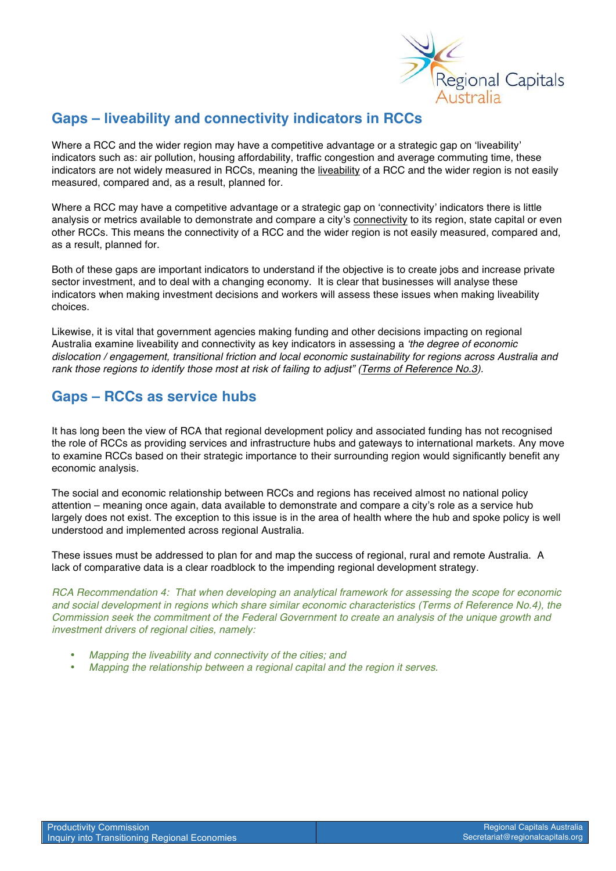

### **Gaps – liveability and connectivity indicators in RCCs**

Where a RCC and the wider region may have a competitive advantage or a strategic gap on 'liveability' indicators such as: air pollution, housing affordability, traffic congestion and average commuting time, these indicators are not widely measured in RCCs, meaning the liveability of a RCC and the wider region is not easily measured, compared and, as a result, planned for.

Where a RCC may have a competitive advantage or a strategic gap on 'connectivity' indicators there is little analysis or metrics available to demonstrate and compare a city's connectivity to its region, state capital or even other RCCs. This means the connectivity of a RCC and the wider region is not easily measured, compared and, as a result, planned for.

Both of these gaps are important indicators to understand if the objective is to create jobs and increase private sector investment, and to deal with a changing economy. It is clear that businesses will analyse these indicators when making investment decisions and workers will assess these issues when making liveability choices.

Likewise, it is vital that government agencies making funding and other decisions impacting on regional Australia examine liveability and connectivity as key indicators in assessing a *'the degree of economic dislocation / engagement, transitional friction and local economic sustainability for regions across Australia and rank those regions to identify those most at risk of failing to adjust" (Terms of Reference No.3).*

### **Gaps – RCCs as service hubs**

It has long been the view of RCA that regional development policy and associated funding has not recognised the role of RCCs as providing services and infrastructure hubs and gateways to international markets. Any move to examine RCCs based on their strategic importance to their surrounding region would significantly benefit any economic analysis.

The social and economic relationship between RCCs and regions has received almost no national policy attention – meaning once again, data available to demonstrate and compare a city's role as a service hub largely does not exist. The exception to this issue is in the area of health where the hub and spoke policy is well understood and implemented across regional Australia.

These issues must be addressed to plan for and map the success of regional, rural and remote Australia. A lack of comparative data is a clear roadblock to the impending regional development strategy.

*RCA Recommendation 4: That when developing an analytical framework for assessing the scope for economic and social development in regions which share similar economic characteristics (Terms of Reference No.4), the Commission seek the commitment of the Federal Government to create an analysis of the unique growth and investment drivers of regional cities, namely:*

- *Mapping the liveability and connectivity of the cities; and*
- *Mapping the relationship between a regional capital and the region it serves.*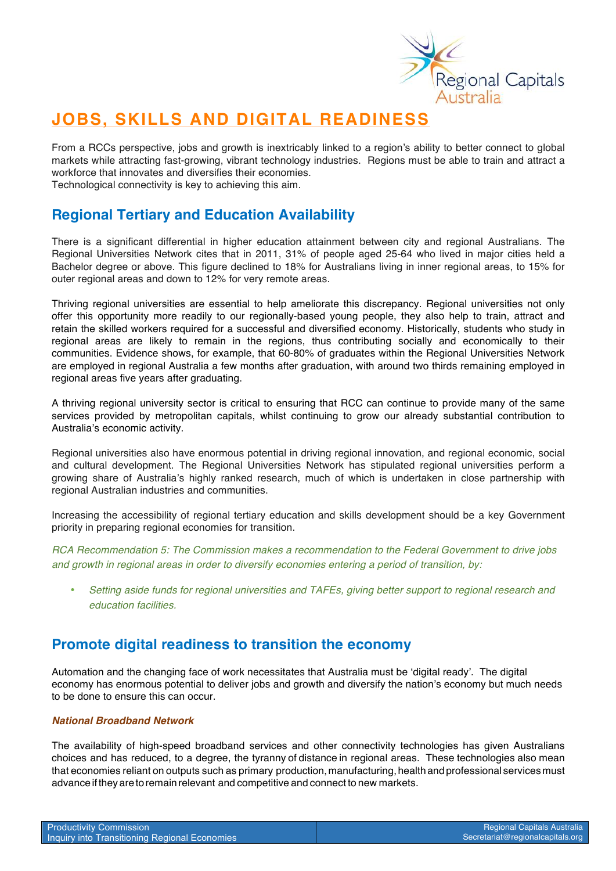

# **JOBS, SKILLS AND DIGITAL READINESS**

From a RCCs perspective, jobs and growth is inextricably linked to a region's ability to better connect to global markets while attracting fast-growing, vibrant technology industries. Regions must be able to train and attract a workforce that innovates and diversifies their economies.

Technological connectivity is key to achieving this aim.

### **Regional Tertiary and Education Availability**

There is a significant differential in higher education attainment between city and regional Australians. The Regional Universities Network cites that in 2011, 31% of people aged 25-64 who lived in major cities held a Bachelor degree or above. This figure declined to 18% for Australians living in inner regional areas, to 15% for outer regional areas and down to 12% for very remote areas.

Thriving regional universities are essential to help ameliorate this discrepancy. Regional universities not only offer this opportunity more readily to our regionally-based young people, they also help to train, attract and retain the skilled workers required for a successful and diversified economy. Historically, students who study in regional areas are likely to remain in the regions, thus contributing socially and economically to their communities. Evidence shows, for example, that 60-80% of graduates within the Regional Universities Network are employed in regional Australia a few months after graduation, with around two thirds remaining employed in regional areas five years after graduating.

A thriving regional university sector is critical to ensuring that RCC can continue to provide many of the same services provided by metropolitan capitals, whilst continuing to grow our already substantial contribution to Australia's economic activity.

Regional universities also have enormous potential in driving regional innovation, and regional economic, social and cultural development. The Regional Universities Network has stipulated regional universities perform a growing share of Australia's highly ranked research, much of which is undertaken in close partnership with regional Australian industries and communities.

Increasing the accessibility of regional tertiary education and skills development should be a key Government priority in preparing regional economies for transition.

*RCA Recommendation 5: The Commission makes a recommendation to the Federal Government to drive jobs and growth in regional areas in order to diversify economies entering a period of transition, by:*

• *Setting aside funds for regional universities and TAFEs, giving better support to regional research and education facilities.* 

### **Promote digital readiness to transition the economy**

Automation and the changing face of work necessitates that Australia must be 'digital ready'. The digital economy has enormous potential to deliver jobs and growth and diversify the nation's economy but much needs to be done to ensure this can occur.

#### *National Broadband Network*

The availability of high-speed broadband services and other connectivity technologies has given Australians choices and has reduced, to a degree, the tyranny of distance in regional areas. These technologies also mean that economies reliant on outputs such as primary production, manufacturing, health and professional services must advanceiftheyaretoremain relevant and competitive and connect to new markets.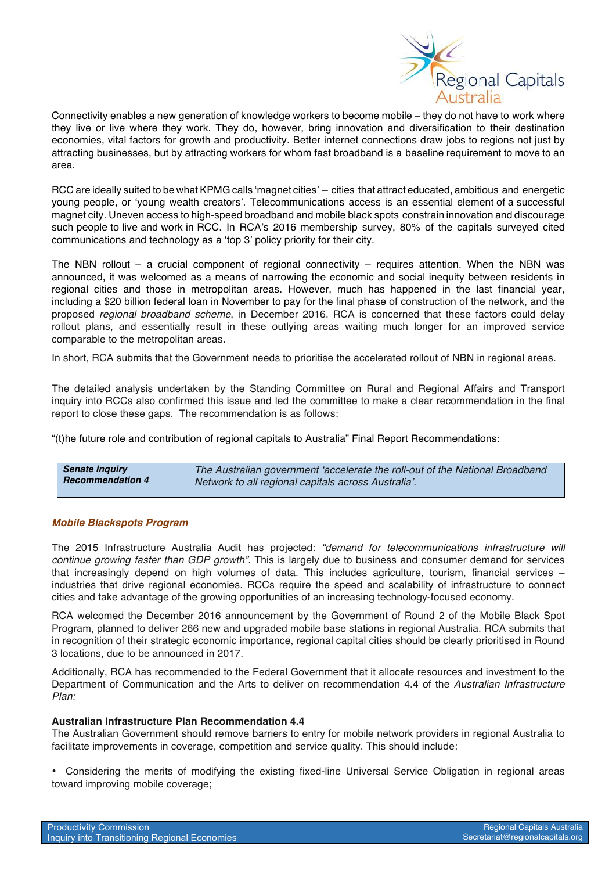

Connectivity enables a new generation of knowledge workers to become mobile – they do not have to work where they live or live where they work. They do, however, bring innovation and diversification to their destination economies, vital factors for growth and productivity. Better internet connections draw jobs to regions not just by attracting businesses, but by attracting workers for whom fast broadband is a baseline requirement to move to an area.

RCC are ideally suited to be what KPMG calls 'magnet cities' – cities that attract educated, ambitious and energetic young people, or 'young wealth creators'. Telecommunications access is an essential element of a successful magnet city. Uneven access to high-speed broadband and mobile black spots constrain innovation and discourage such people to live and work in RCC. In RCA's 2016 membership survey, 80% of the capitals surveyed cited communications and technology as a 'top 3' policy priority for their city.

The NBN rollout – a crucial component of regional connectivity – requires attention. When the NBN was announced, it was welcomed as a means of narrowing the economic and social inequity between residents in regional cities and those in metropolitan areas. However, much has happened in the last financial year, including a \$20 billion federal loan in November to pay for the final phase of construction of the network, and the proposed *regional broadband scheme*, in December 2016. RCA is concerned that these factors could delay rollout plans, and essentially result in these outlying areas waiting much longer for an improved service comparable to the metropolitan areas.

In short, RCA submits that the Government needs to prioritise the accelerated rollout of NBN in regional areas.

The detailed analysis undertaken by the Standing Committee on Rural and Regional Affairs and Transport inquiry into RCCs also confirmed this issue and led the committee to make a clear recommendation in the final report to close these gaps. The recommendation is as follows:

"(t)he future role and contribution of regional capitals to Australia" Final Report Recommendations:

| <b>Senate Inquiry</b>   | The Australian government 'accelerate the roll-out of the National Broadband |
|-------------------------|------------------------------------------------------------------------------|
| <b>Recommendation 4</b> | Network to all regional capitals across Australia'.                          |
|                         |                                                                              |

#### *Mobile Blackspots Program*

The 2015 Infrastructure Australia Audit has projected: *"demand for telecommunications infrastructure will continue growing faster than GDP growth"*. This is largely due to business and consumer demand for services that increasingly depend on high volumes of data. This includes agriculture, tourism, financial services – industries that drive regional economies. RCCs require the speed and scalability of infrastructure to connect cities and take advantage of the growing opportunities of an increasing technology-focused economy.

RCA welcomed the December 2016 announcement by the Government of Round 2 of the Mobile Black Spot Program, planned to deliver 266 new and upgraded mobile base stations in regional Australia. RCA submits that in recognition of their strategic economic importance, regional capital cities should be clearly prioritised in Round 3 locations, due to be announced in 2017.

Additionally, RCA has recommended to the Federal Government that it allocate resources and investment to the Department of Communication and the Arts to deliver on recommendation 4.4 of the *Australian Infrastructure Plan:*

#### **Australian Infrastructure Plan Recommendation 4.4**

The Australian Government should remove barriers to entry for mobile network providers in regional Australia to facilitate improvements in coverage, competition and service quality. This should include:

• Considering the merits of modifying the existing fixed-line Universal Service Obligation in regional areas toward improving mobile coverage;

| <b>Productivity Commission</b>                |  |
|-----------------------------------------------|--|
| Inquiry into Transitioning Regional Economies |  |